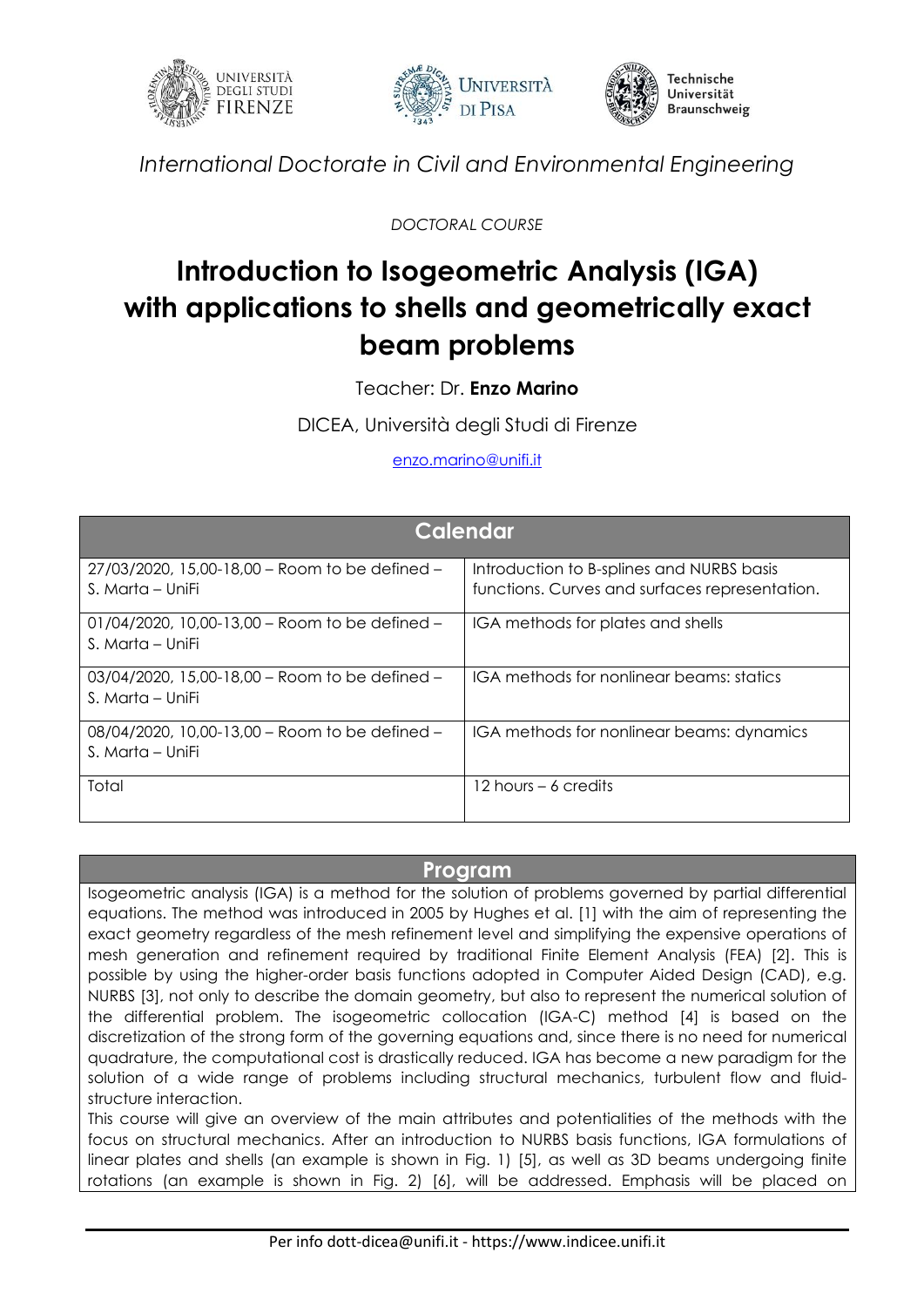





*International Doctorate in Civil and Environmental Engineering*

*DOCTORAL COURSE*

## **Introduction to Isogeometric Analysis (IGA) with applications to shells and geometrically exact beam problems**

Teacher: Dr. **Enzo Marino**

DICEA, Università degli Studi di Firenze

[enzo.marino@unifi.it](mailto:enzo.marino@unifi.it)

| <b>Calendar</b>                                                       |                                                                                             |
|-----------------------------------------------------------------------|---------------------------------------------------------------------------------------------|
| 27/03/2020, 15,00-18,00 - Room to be defined -<br>S. Marta – UniFi    | Introduction to B-splines and NURBS basis<br>functions. Curves and surfaces representation. |
| 01/04/2020, 10,00-13,00 – Room to be defined –<br>S. Marta – UniFi    | IGA methods for plates and shells                                                           |
| $03/04/2020$ , 15,00-18,00 – Room to be defined –<br>S. Marta – UniFi | IGA methods for nonlinear beams: statics                                                    |
| 08/04/2020, 10,00-13,00 - Room to be defined -<br>S. Marta – UniFi    | IGA methods for nonlinear beams: dynamics                                                   |
| Total                                                                 | 12 hours $-6$ credits                                                                       |

## **Program**

Isogeometric analysis (IGA) is a method for the solution of problems governed by partial differential equations. The method was introduced in 2005 by Hughes et al. [1] with the aim of representing the exact geometry regardless of the mesh refinement level and simplifying the expensive operations of mesh generation and refinement required by traditional Finite Element Analysis (FEA) [2]. This is possible by using the higher-order basis functions adopted in Computer Aided Design (CAD), e.g. NURBS [3], not only to describe the domain geometry, but also to represent the numerical solution of the differential problem. The isogeometric collocation (IGA-C) method [4] is based on the discretization of the strong form of the governing equations and, since there is no need for numerical quadrature, the computational cost is drastically reduced. IGA has become a new paradigm for the solution of a wide range of problems including structural mechanics, turbulent flow and fluidstructure interaction.

This course will give an overview of the main attributes and potentialities of the methods with the focus on structural mechanics. After an introduction to NURBS basis functions, IGA formulations of linear plates and shells (an example is shown in Fig. 1) [5], as well as 3D beams undergoing finite rotations (an example is shown in Fig. 2) [6], will be addressed. Emphasis will be placed on